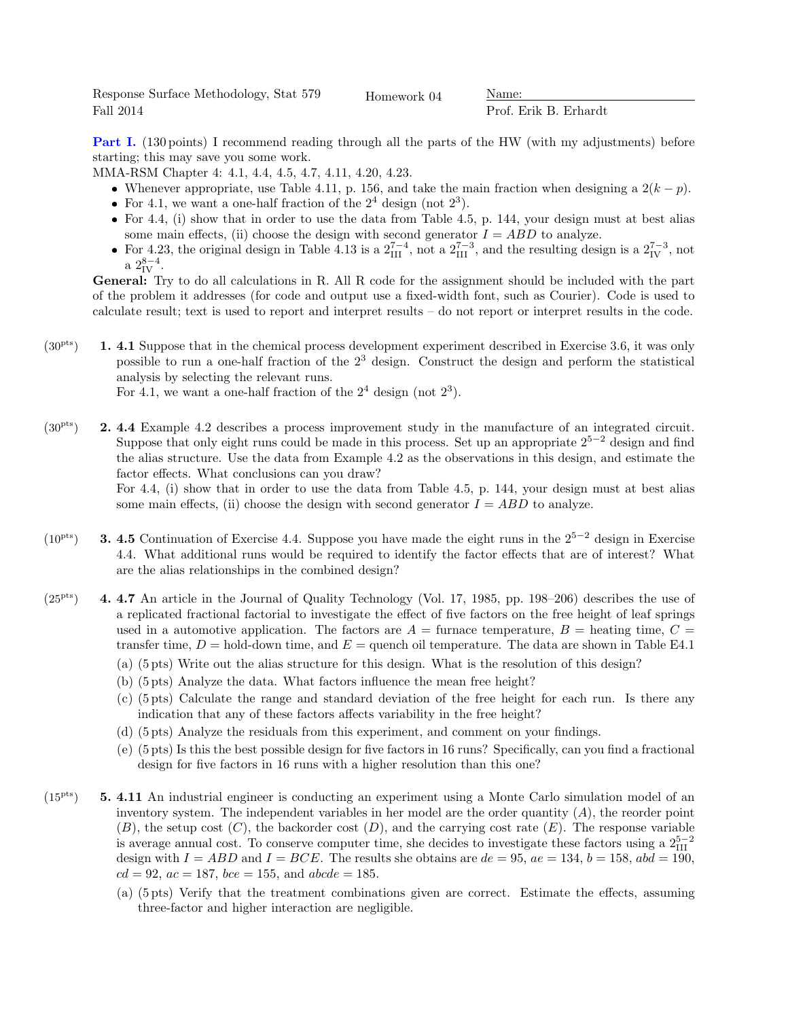Response Surface Methodology, Stat 579 Fall 2014

Homework 04 Name:

Prof. Erik B. Erhardt

Part I. (130 points) I recommend reading through all the parts of the HW (with my adjustments) before starting; this may save you some work.

MMA-RSM Chapter 4: 4.1, 4.4, 4.5, 4.7, 4.11, 4.20, 4.23.

- Whenever appropriate, use Table 4.11, p. 156, and take the main fraction when designing a  $2(k p)$ .
- For 4.1, we want a one-half fraction of the  $2^4$  design (not  $2^3$ ).
- For 4.4, (i) show that in order to use the data from Table 4.5, p. 144, your design must at best alias some main effects, (ii) choose the design with second generator  $I = ABD$  to analyze.
- For 4.23, the original design in Table 4.13 is a  $2_{\text{III}}^{7-4}$ , not a  $2_{\text{III}}^{7-3}$ , and the resulting design is a  $2_{\text{IV}}^{7-3}$ , not a  $2_{\rm IV}^{8-4}$ .

General: Try to do all calculations in R. All R code for the assignment should be included with the part of the problem it addresses (for code and output use a fixed-width font, such as Courier). Code is used to calculate result; text is used to report and interpret results – do not report or interpret results in the code.

 $(30<sup>pts</sup>)$  1. 4.1 Suppose that in the chemical process development experiment described in Exercise 3.6, it was only possible to run a one-half fraction of the  $2<sup>3</sup>$  design. Construct the design and perform the statistical analysis by selecting the relevant runs.

For 4.1, we want a one-half fraction of the  $2^4$  design (not  $2^3$ ).

 $(30<sup>pts</sup>)$  **2. 4.4** Example 4.2 describes a process improvement study in the manufacture of an integrated circuit. Suppose that only eight runs could be made in this process. Set up an appropriate  $2^{5-2}$  design and find the alias structure. Use the data from Example 4.2 as the observations in this design, and estimate the factor effects. What conclusions can you draw?

For 4.4, (i) show that in order to use the data from Table 4.5, p. 144, your design must at best alias some main effects, (ii) choose the design with second generator  $I = ABD$  to analyze.

- $(10^{pts})$  3. 4.5 Continuation of Exercise 4.4. Suppose you have made the eight runs in the 2<sup>5−2</sup> design in Exercise 4.4. What additional runs would be required to identify the factor effects that are of interest? What are the alias relationships in the combined design?
- $(25<sup>pts</sup>)$  4. 4.7 An article in the Journal of Quality Technology (Vol. 17, 1985, pp. 198–206) describes the use of a replicated fractional factorial to investigate the effect of five factors on the free height of leaf springs used in a automotive application. The factors are  $A = \text{furnace temperature}, B = \text{heating time}, C =$ transfer time,  $D =$  hold-down time, and  $E =$  quench oil temperature. The data are shown in Table E4.1
	- (a) (5 pts) Write out the alias structure for this design. What is the resolution of this design?
	- (b) (5 pts) Analyze the data. What factors influence the mean free height?
	- (c) (5 pts) Calculate the range and standard deviation of the free height for each run. Is there any indication that any of these factors affects variability in the free height?
	- (d) (5 pts) Analyze the residuals from this experiment, and comment on your findings.
	- (e) (5 pts) Is this the best possible design for five factors in 16 runs? Specifically, can you find a fractional design for five factors in 16 runs with a higher resolution than this one?
- $(15<sup>pts</sup>)$  5. 4.11 An industrial engineer is conducting an experiment using a Monte Carlo simulation model of an inventory system. The independent variables in her model are the order quantity  $(A)$ , the reorder point  $(B)$ , the setup cost  $(C)$ , the backorder cost  $(D)$ , and the carrying cost rate  $(E)$ . The response variable is average annual cost. To conserve computer time, she decides to investigate these factors using a  $2_{\text{III}}^{5-2}$ design with  $I = ABD$  and  $I = BCE$ . The results she obtains are  $de = 95$ ,  $ae = 134$ ,  $b = 158$ ,  $abd = 190$ ,  $cd = 92, ac = 187, bce = 155, and abcde = 185.$ 
	- (a) (5 pts) Verify that the treatment combinations given are correct. Estimate the effects, assuming three-factor and higher interaction are negligible.